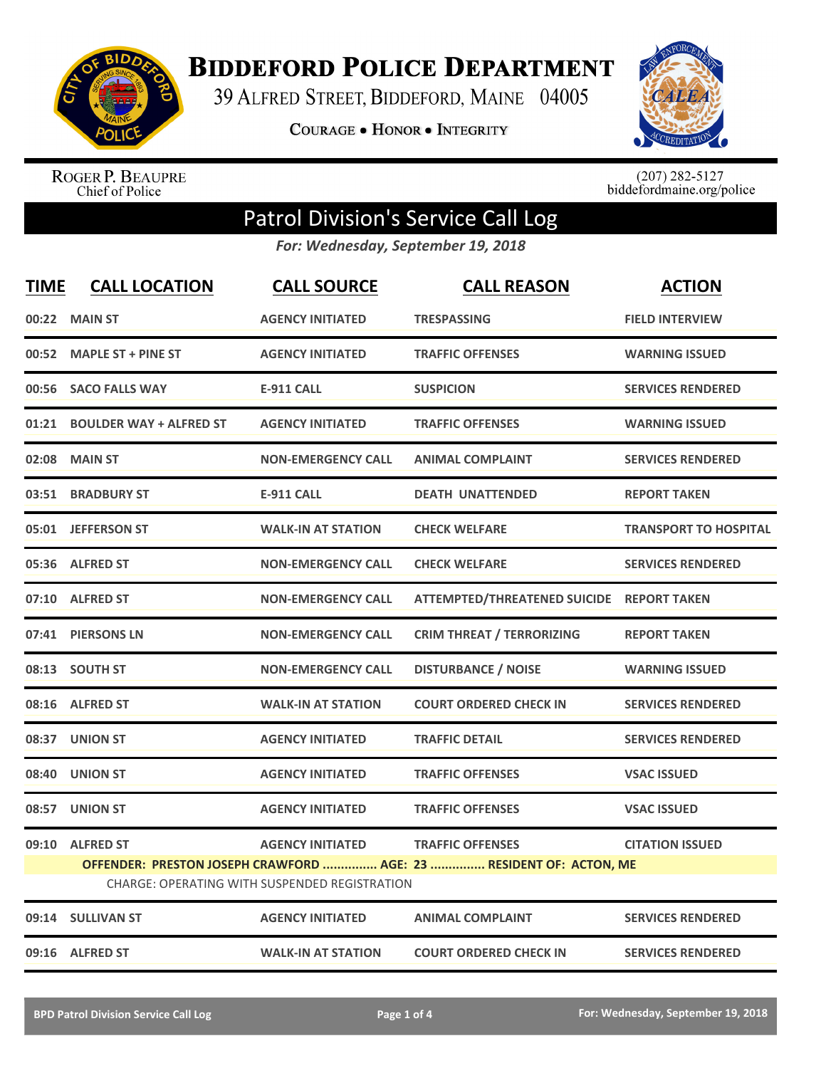

## **BIDDEFORD POLICE DEPARTMENT**

39 ALFRED STREET, BIDDEFORD, MAINE 04005

**COURAGE . HONOR . INTEGRITY** 



ROGER P. BEAUPRE<br>Chief of Police

 $(207)$  282-5127<br>biddefordmaine.org/police

## Patrol Division's Service Call Log

*For: Wednesday, September 19, 2018*

| <b>TIME</b> | <b>CALL LOCATION</b>          | <b>CALL SOURCE</b>                                                       | <b>CALL REASON</b>                                                                            | <b>ACTION</b>                |
|-------------|-------------------------------|--------------------------------------------------------------------------|-----------------------------------------------------------------------------------------------|------------------------------|
|             | 00:22 MAIN ST                 | <b>AGENCY INITIATED</b>                                                  | <b>TRESPASSING</b>                                                                            | <b>FIELD INTERVIEW</b>       |
|             | 00:52 MAPLE ST + PINE ST      | <b>AGENCY INITIATED</b>                                                  | <b>TRAFFIC OFFENSES</b>                                                                       | <b>WARNING ISSUED</b>        |
| 00:56       | <b>SACO FALLS WAY</b>         | <b>E-911 CALL</b>                                                        | <b>SUSPICION</b>                                                                              | <b>SERVICES RENDERED</b>     |
|             | 01:21 BOULDER WAY + ALFRED ST | <b>AGENCY INITIATED</b>                                                  | <b>TRAFFIC OFFENSES</b>                                                                       | <b>WARNING ISSUED</b>        |
|             | 02:08 MAIN ST                 | <b>NON-EMERGENCY CALL</b>                                                | <b>ANIMAL COMPLAINT</b>                                                                       | <b>SERVICES RENDERED</b>     |
|             | 03:51 BRADBURY ST             | <b>E-911 CALL</b>                                                        | <b>DEATH UNATTENDED</b>                                                                       | <b>REPORT TAKEN</b>          |
|             | 05:01 JEFFERSON ST            | <b>WALK-IN AT STATION</b>                                                | <b>CHECK WELFARE</b>                                                                          | <b>TRANSPORT TO HOSPITAL</b> |
|             | 05:36 ALFRED ST               | <b>NON-EMERGENCY CALL</b>                                                | <b>CHECK WELFARE</b>                                                                          | <b>SERVICES RENDERED</b>     |
|             | 07:10 ALFRED ST               | <b>NON-EMERGENCY CALL</b>                                                | ATTEMPTED/THREATENED SUICIDE REPORT TAKEN                                                     |                              |
|             | 07:41 PIERSONS LN             | <b>NON-EMERGENCY CALL</b>                                                | <b>CRIM THREAT / TERRORIZING</b>                                                              | <b>REPORT TAKEN</b>          |
|             | 08:13 SOUTH ST                | <b>NON-EMERGENCY CALL</b>                                                | <b>DISTURBANCE / NOISE</b>                                                                    | <b>WARNING ISSUED</b>        |
|             | 08:16 ALFRED ST               | <b>WALK-IN AT STATION</b>                                                | <b>COURT ORDERED CHECK IN</b>                                                                 | <b>SERVICES RENDERED</b>     |
|             | 08:37 UNION ST                | <b>AGENCY INITIATED</b>                                                  | <b>TRAFFIC DETAIL</b>                                                                         | <b>SERVICES RENDERED</b>     |
|             | 08:40 UNION ST                | <b>AGENCY INITIATED</b>                                                  | <b>TRAFFIC OFFENSES</b>                                                                       | <b>VSAC ISSUED</b>           |
|             | 08:57 UNION ST                | <b>AGENCY INITIATED</b>                                                  | <b>TRAFFIC OFFENSES</b>                                                                       | <b>VSAC ISSUED</b>           |
|             | 09:10 ALFRED ST               | <b>AGENCY INITIATED</b><br>CHARGE: OPERATING WITH SUSPENDED REGISTRATION | <b>TRAFFIC OFFENSES</b><br>OFFENDER: PRESTON JOSEPH CRAWFORD  AGE: 23  RESIDENT OF: ACTON, ME | <b>CITATION ISSUED</b>       |
|             | 09:14 SULLIVAN ST             | <b>AGENCY INITIATED</b>                                                  | <b>ANIMAL COMPLAINT</b>                                                                       | <b>SERVICES RENDERED</b>     |
|             | 09:16 ALFRED ST               | <b>WALK-IN AT STATION</b>                                                | <b>COURT ORDERED CHECK IN</b>                                                                 | <b>SERVICES RENDERED</b>     |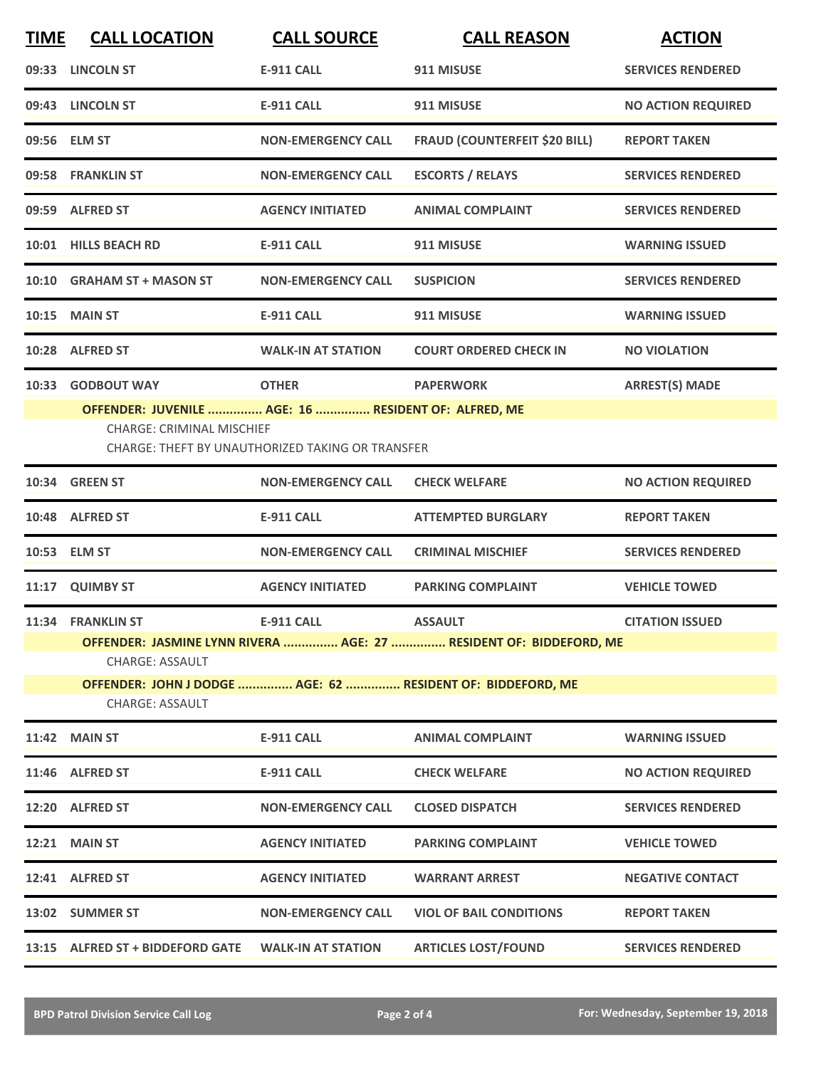| <b>TIME</b> | <b>CALL LOCATION</b>                                                                     | <b>CALL SOURCE</b>                                      | <b>CALL REASON</b>                                                 | <b>ACTION</b>             |
|-------------|------------------------------------------------------------------------------------------|---------------------------------------------------------|--------------------------------------------------------------------|---------------------------|
|             | 09:33 LINCOLN ST                                                                         | <b>E-911 CALL</b>                                       | 911 MISUSE                                                         | <b>SERVICES RENDERED</b>  |
|             | 09:43 LINCOLN ST                                                                         | <b>E-911 CALL</b>                                       | 911 MISUSE                                                         | <b>NO ACTION REQUIRED</b> |
|             | 09:56 ELM ST                                                                             | <b>NON-EMERGENCY CALL</b>                               | <b>FRAUD (COUNTERFEIT \$20 BILL)</b>                               | <b>REPORT TAKEN</b>       |
|             | 09:58 FRANKLIN ST                                                                        | <b>NON-EMERGENCY CALL</b>                               | <b>ESCORTS / RELAYS</b>                                            | <b>SERVICES RENDERED</b>  |
|             | 09:59 ALFRED ST                                                                          | <b>AGENCY INITIATED</b>                                 | <b>ANIMAL COMPLAINT</b>                                            | <b>SERVICES RENDERED</b>  |
|             | 10:01 HILLS BEACH RD                                                                     | <b>E-911 CALL</b>                                       | 911 MISUSE                                                         | <b>WARNING ISSUED</b>     |
|             | 10:10 GRAHAM ST + MASON ST                                                               | <b>NON-EMERGENCY CALL</b>                               | <b>SUSPICION</b>                                                   | <b>SERVICES RENDERED</b>  |
|             | <b>10:15 MAIN ST</b>                                                                     | <b>E-911 CALL</b>                                       | 911 MISUSE                                                         | <b>WARNING ISSUED</b>     |
|             | 10:28 ALFRED ST                                                                          | <b>WALK-IN AT STATION</b>                               | <b>COURT ORDERED CHECK IN</b>                                      | <b>NO VIOLATION</b>       |
| 10:33       | <b>GODBOUT WAY</b>                                                                       | <b>OTHER</b>                                            | <b>PAPERWORK</b>                                                   | <b>ARREST(S) MADE</b>     |
|             | OFFENDER: JUVENILE  AGE: 16  RESIDENT OF: ALFRED, ME<br><b>CHARGE: CRIMINAL MISCHIEF</b> | <b>CHARGE: THEFT BY UNAUTHORIZED TAKING OR TRANSFER</b> |                                                                    |                           |
|             | 10:34 GREEN ST                                                                           | <b>NON-EMERGENCY CALL</b>                               | <b>CHECK WELFARE</b>                                               | <b>NO ACTION REQUIRED</b> |
|             | 10:48 ALFRED ST                                                                          | E-911 CALL                                              | <b>ATTEMPTED BURGLARY</b>                                          | <b>REPORT TAKEN</b>       |
|             | 10:53 ELM ST                                                                             | <b>NON-EMERGENCY CALL</b>                               | <b>CRIMINAL MISCHIEF</b>                                           | <b>SERVICES RENDERED</b>  |
|             | 11:17 QUIMBY ST                                                                          | <b>AGENCY INITIATED</b>                                 | <b>PARKING COMPLAINT</b>                                           | <b>VEHICLE TOWED</b>      |
|             | 11:34 FRANKLIN ST                                                                        | <b>E-911 CALL</b>                                       | <b>ASSAULT</b>                                                     | <b>CITATION ISSUED</b>    |
|             | <b>CHARGE: ASSAULT</b>                                                                   |                                                         | OFFENDER: JASMINE LYNN RIVERA  AGE: 27  RESIDENT OF: BIDDEFORD, ME |                           |
|             | <b>CHARGE: ASSAULT</b>                                                                   |                                                         | OFFENDER: JOHN J DODGE  AGE: 62  RESIDENT OF: BIDDEFORD, ME        |                           |
|             | <b>11:42 MAIN ST</b>                                                                     | E-911 CALL                                              | <b>ANIMAL COMPLAINT</b>                                            | <b>WARNING ISSUED</b>     |
|             | 11:46 ALFRED ST                                                                          | E-911 CALL                                              | <b>CHECK WELFARE</b>                                               | <b>NO ACTION REQUIRED</b> |
|             | 12:20 ALFRED ST                                                                          | <b>NON-EMERGENCY CALL</b>                               | <b>CLOSED DISPATCH</b>                                             | <b>SERVICES RENDERED</b>  |
|             | <b>12:21 MAIN ST</b>                                                                     | <b>AGENCY INITIATED</b>                                 | <b>PARKING COMPLAINT</b>                                           | <b>VEHICLE TOWED</b>      |
|             | 12:41 ALFRED ST                                                                          | <b>AGENCY INITIATED</b>                                 | <b>WARRANT ARREST</b>                                              | <b>NEGATIVE CONTACT</b>   |
|             | 13:02 SUMMER ST                                                                          | <b>NON-EMERGENCY CALL</b>                               | <b>VIOL OF BAIL CONDITIONS</b>                                     | <b>REPORT TAKEN</b>       |
|             | 13:15 ALFRED ST + BIDDEFORD GATE                                                         | <b>WALK-IN AT STATION</b>                               | <b>ARTICLES LOST/FOUND</b>                                         | <b>SERVICES RENDERED</b>  |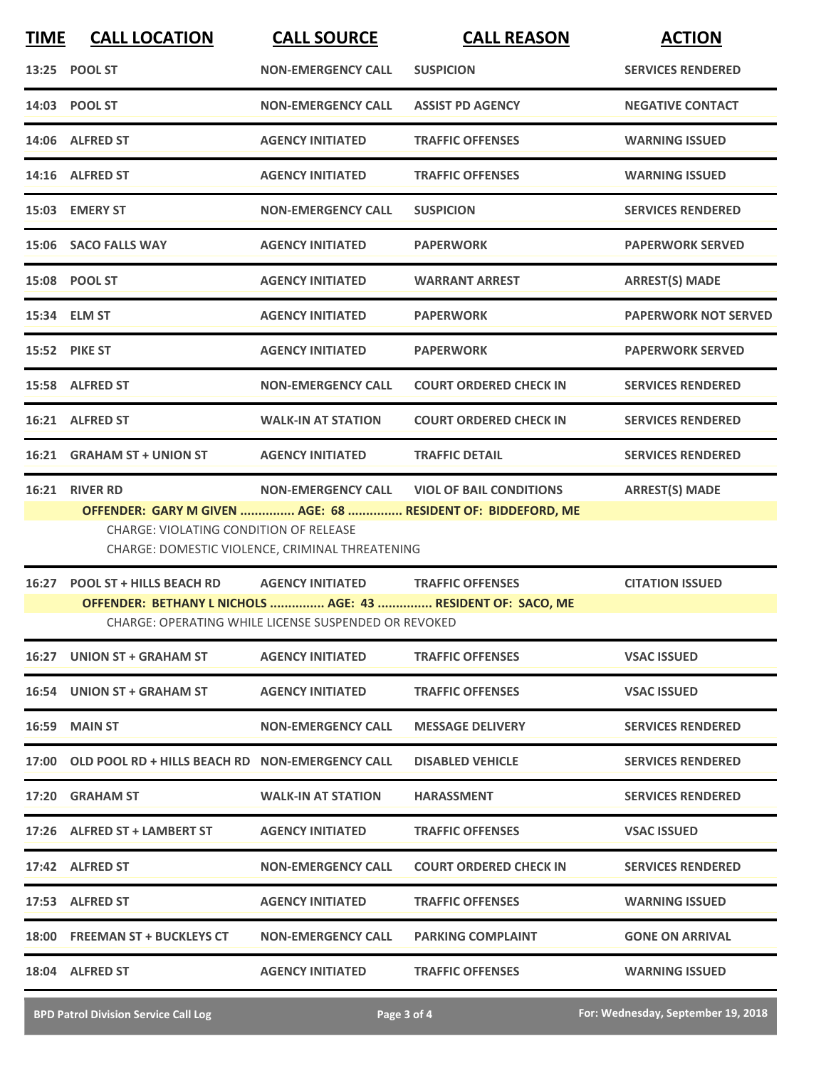| <b>TIME</b> | <b>CALL LOCATION</b>                                                                                                                                                                                                                                               | <b>CALL SOURCE</b>                                                              | <b>CALL REASON</b>            | <b>ACTION</b>               |  |
|-------------|--------------------------------------------------------------------------------------------------------------------------------------------------------------------------------------------------------------------------------------------------------------------|---------------------------------------------------------------------------------|-------------------------------|-----------------------------|--|
|             | 13:25 POOL ST                                                                                                                                                                                                                                                      | <b>NON-EMERGENCY CALL</b>                                                       | <b>SUSPICION</b>              | <b>SERVICES RENDERED</b>    |  |
|             | 14:03 POOL ST                                                                                                                                                                                                                                                      | <b>NON-EMERGENCY CALL</b>                                                       | <b>ASSIST PD AGENCY</b>       | <b>NEGATIVE CONTACT</b>     |  |
|             | 14:06 ALFRED ST                                                                                                                                                                                                                                                    | <b>AGENCY INITIATED</b>                                                         | <b>TRAFFIC OFFENSES</b>       | <b>WARNING ISSUED</b>       |  |
|             | 14:16 ALFRED ST                                                                                                                                                                                                                                                    | <b>AGENCY INITIATED</b>                                                         | <b>TRAFFIC OFFENSES</b>       | <b>WARNING ISSUED</b>       |  |
|             | 15:03 EMERY ST                                                                                                                                                                                                                                                     | <b>NON-EMERGENCY CALL</b>                                                       | <b>SUSPICION</b>              | <b>SERVICES RENDERED</b>    |  |
|             | 15:06 SACO FALLS WAY                                                                                                                                                                                                                                               | <b>AGENCY INITIATED</b>                                                         | <b>PAPERWORK</b>              | <b>PAPERWORK SERVED</b>     |  |
|             | 15:08 POOL ST                                                                                                                                                                                                                                                      | <b>AGENCY INITIATED</b>                                                         | <b>WARRANT ARREST</b>         | <b>ARREST(S) MADE</b>       |  |
|             | 15:34 ELM ST                                                                                                                                                                                                                                                       | <b>AGENCY INITIATED</b>                                                         | <b>PAPERWORK</b>              | <b>PAPERWORK NOT SERVED</b> |  |
|             | <b>15:52 PIKE ST</b>                                                                                                                                                                                                                                               | <b>AGENCY INITIATED</b>                                                         | <b>PAPERWORK</b>              | <b>PAPERWORK SERVED</b>     |  |
|             | 15:58 ALFRED ST                                                                                                                                                                                                                                                    | <b>NON-EMERGENCY CALL</b>                                                       | <b>COURT ORDERED CHECK IN</b> | <b>SERVICES RENDERED</b>    |  |
|             | 16:21 ALFRED ST                                                                                                                                                                                                                                                    | <b>WALK-IN AT STATION</b>                                                       | <b>COURT ORDERED CHECK IN</b> | <b>SERVICES RENDERED</b>    |  |
|             | 16:21 GRAHAM ST + UNION ST                                                                                                                                                                                                                                         | <b>AGENCY INITIATED</b>                                                         | <b>TRAFFIC DETAIL</b>         | <b>SERVICES RENDERED</b>    |  |
|             | 16:21 RIVER RD<br><b>NON-EMERGENCY CALL</b><br><b>VIOL OF BAIL CONDITIONS</b><br><b>ARREST(S) MADE</b><br>OFFENDER: GARY M GIVEN  AGE: 68  RESIDENT OF: BIDDEFORD, ME<br>CHARGE: VIOLATING CONDITION OF RELEASE<br>CHARGE: DOMESTIC VIOLENCE, CRIMINAL THREATENING |                                                                                 |                               |                             |  |
|             | 16:27 POOL ST + HILLS BEACH RD<br>OFFENDER: BETHANY L NICHOLS  AGE: 43  RESIDENT OF: SACO, ME                                                                                                                                                                      | <b>AGENCY INITIATED</b><br>CHARGE: OPERATING WHILE LICENSE SUSPENDED OR REVOKED | <b>TRAFFIC OFFENSES</b>       | <b>CITATION ISSUED</b>      |  |
|             | 16:27 UNION ST + GRAHAM ST                                                                                                                                                                                                                                         | <b>AGENCY INITIATED</b>                                                         | <b>TRAFFIC OFFENSES</b>       | <b>VSAC ISSUED</b>          |  |
|             | 16:54 UNION ST + GRAHAM ST                                                                                                                                                                                                                                         | <b>AGENCY INITIATED</b>                                                         | <b>TRAFFIC OFFENSES</b>       | <b>VSAC ISSUED</b>          |  |
|             | 16:59 MAIN ST                                                                                                                                                                                                                                                      | <b>NON-EMERGENCY CALL</b>                                                       | <b>MESSAGE DELIVERY</b>       | <b>SERVICES RENDERED</b>    |  |
|             | 17:00 OLD POOL RD + HILLS BEACH RD NON-EMERGENCY CALL                                                                                                                                                                                                              |                                                                                 | <b>DISABLED VEHICLE</b>       | <b>SERVICES RENDERED</b>    |  |
|             | 17:20 GRAHAM ST                                                                                                                                                                                                                                                    | <b>WALK-IN AT STATION</b>                                                       | <b>HARASSMENT</b>             | <b>SERVICES RENDERED</b>    |  |
|             | 17:26 ALFRED ST + LAMBERT ST                                                                                                                                                                                                                                       | <b>AGENCY INITIATED</b>                                                         | <b>TRAFFIC OFFENSES</b>       | <b>VSAC ISSUED</b>          |  |
|             | 17:42 ALFRED ST                                                                                                                                                                                                                                                    | <b>NON-EMERGENCY CALL</b>                                                       | <b>COURT ORDERED CHECK IN</b> | <b>SERVICES RENDERED</b>    |  |
|             | 17:53 ALFRED ST                                                                                                                                                                                                                                                    | <b>AGENCY INITIATED</b>                                                         | <b>TRAFFIC OFFENSES</b>       | <b>WARNING ISSUED</b>       |  |
|             | 18:00 FREEMAN ST + BUCKLEYS CT                                                                                                                                                                                                                                     | <b>NON-EMERGENCY CALL</b>                                                       | <b>PARKING COMPLAINT</b>      | <b>GONE ON ARRIVAL</b>      |  |
|             | 18:04 ALFRED ST                                                                                                                                                                                                                                                    | <b>AGENCY INITIATED</b>                                                         | <b>TRAFFIC OFFENSES</b>       | <b>WARNING ISSUED</b>       |  |

**BPD Patrol Division Service Call Log Page 3 of 4 For: Wednesday, September 19, 2018**